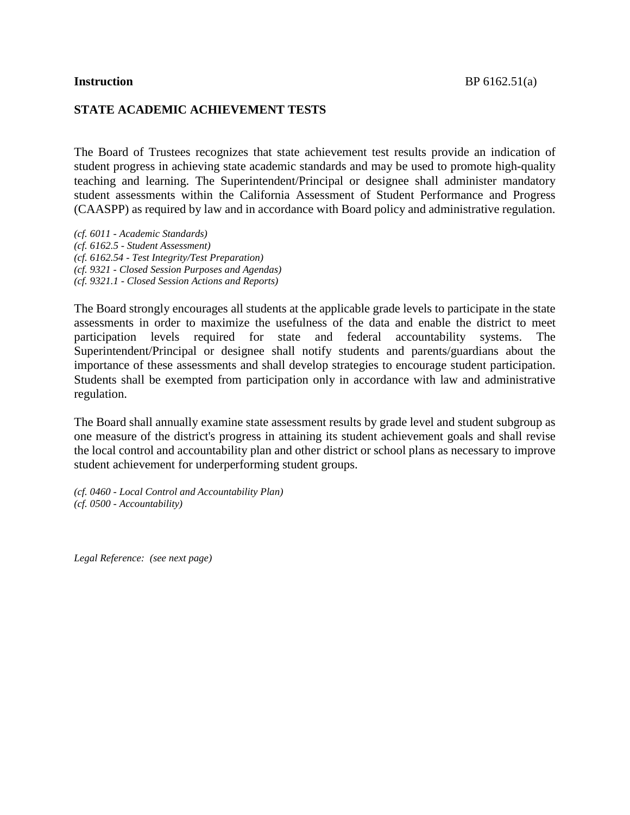#### **STATE ACADEMIC ACHIEVEMENT TESTS**

The Board of Trustees recognizes that state achievement test results provide an indication of student progress in achieving state academic standards and may be used to promote high-quality teaching and learning. The Superintendent/Principal or designee shall administer mandatory student assessments within the California Assessment of Student Performance and Progress (CAASPP) as required by law and in accordance with Board policy and administrative regulation.

*(cf. 6011 - Academic Standards) (cf. 6162.5 - Student Assessment) (cf. 6162.54 - Test Integrity/Test Preparation) (cf. 9321 - Closed Session Purposes and Agendas) (cf. 9321.1 - Closed Session Actions and Reports)*

The Board strongly encourages all students at the applicable grade levels to participate in the state assessments in order to maximize the usefulness of the data and enable the district to meet participation levels required for state and federal accountability systems. The Superintendent/Principal or designee shall notify students and parents/guardians about the importance of these assessments and shall develop strategies to encourage student participation. Students shall be exempted from participation only in accordance with law and administrative regulation.

The Board shall annually examine state assessment results by grade level and student subgroup as one measure of the district's progress in attaining its student achievement goals and shall revise the local control and accountability plan and other district or school plans as necessary to improve student achievement for underperforming student groups.

*(cf. 0460 - Local Control and Accountability Plan) (cf. 0500 - Accountability)*

*Legal Reference: (see next page)*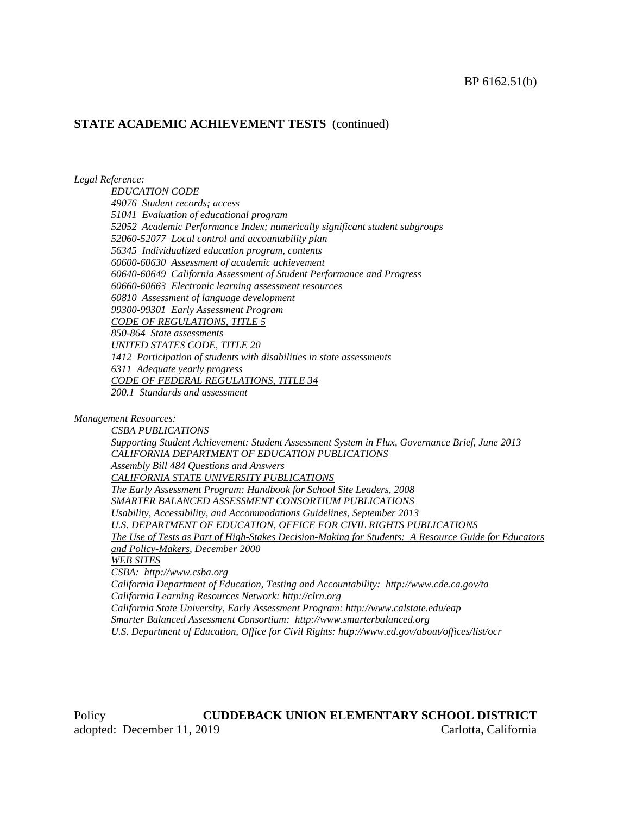*Legal Reference:*

*EDUCATION CODE 49076 Student records; access 51041 Evaluation of educational program 52052 Academic Performance Index; numerically significant student subgroups 52060-52077 Local control and accountability plan 56345 Individualized education program, contents 60600-60630 Assessment of academic achievement 60640-60649 California Assessment of Student Performance and Progress 60660-60663 Electronic learning assessment resources 60810 Assessment of language development 99300-99301 Early Assessment Program CODE OF REGULATIONS, TITLE 5 850-864 State assessments UNITED STATES CODE, TITLE 20 1412 Participation of students with disabilities in state assessments 6311 Adequate yearly progress CODE OF FEDERAL REGULATIONS, TITLE 34 200.1 Standards and assessment*

*Management Resources:*

*CSBA PUBLICATIONS Supporting Student Achievement: Student Assessment System in Flux, Governance Brief, June 2013 CALIFORNIA DEPARTMENT OF EDUCATION PUBLICATIONS Assembly Bill 484 Questions and Answers CALIFORNIA STATE UNIVERSITY PUBLICATIONS The Early Assessment Program: Handbook for School Site Leaders, 2008 SMARTER BALANCED ASSESSMENT CONSORTIUM PUBLICATIONS Usability, Accessibility, and Accommodations Guidelines, September 2013 U.S. DEPARTMENT OF EDUCATION, OFFICE FOR CIVIL RIGHTS PUBLICATIONS The Use of Tests as Part of High-Stakes Decision-Making for Students: A Resource Guide for Educators and Policy-Makers, December 2000 WEB SITES CSBA: http://www.csba.org California Department of Education, Testing and Accountability: http://www.cde.ca.gov/ta California Learning Resources Network: http://clrn.org California State University, Early Assessment Program: http://www.calstate.edu/eap Smarter Balanced Assessment Consortium: http://www.smarterbalanced.org U.S. Department of Education, Office for Civil Rights: http://www.ed.gov/about/offices/list/ocr*

Policy **CUDDEBACK UNION ELEMENTARY SCHOOL DISTRICT** adopted: December 11, 2019 Carlotta, California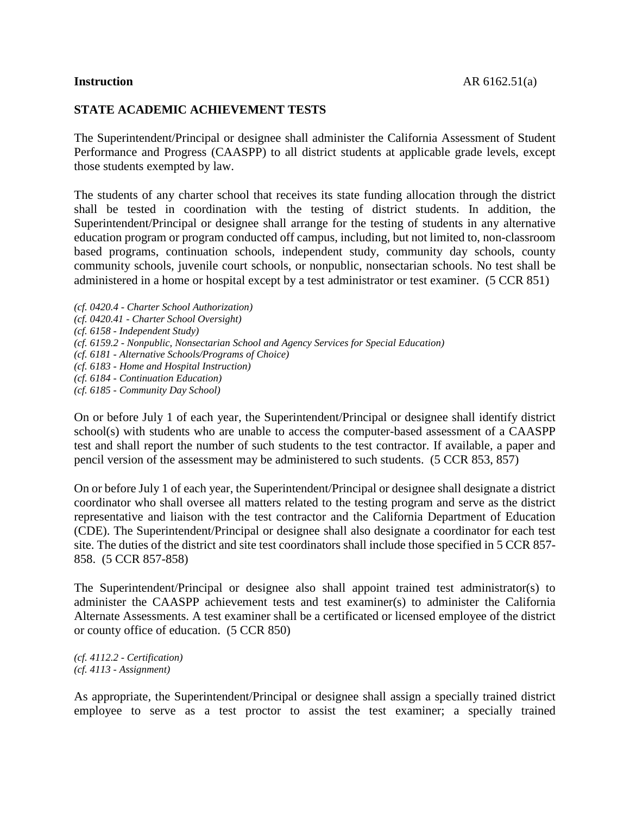# **STATE ACADEMIC ACHIEVEMENT TESTS**

The Superintendent/Principal or designee shall administer the California Assessment of Student Performance and Progress (CAASPP) to all district students at applicable grade levels, except those students exempted by law.

The students of any charter school that receives its state funding allocation through the district shall be tested in coordination with the testing of district students. In addition, the Superintendent/Principal or designee shall arrange for the testing of students in any alternative education program or program conducted off campus, including, but not limited to, non-classroom based programs, continuation schools, independent study, community day schools, county community schools, juvenile court schools, or nonpublic, nonsectarian schools. No test shall be administered in a home or hospital except by a test administrator or test examiner. (5 CCR 851)

*(cf. 0420.4 - Charter School Authorization) (cf. 0420.41 - Charter School Oversight) (cf. 6158 - Independent Study) (cf. 6159.2 - Nonpublic, Nonsectarian School and Agency Services for Special Education) (cf. 6181 - Alternative Schools/Programs of Choice) (cf. 6183 - Home and Hospital Instruction) (cf. 6184 - Continuation Education) (cf. 6185 - Community Day School)*

On or before July 1 of each year, the Superintendent/Principal or designee shall identify district school(s) with students who are unable to access the computer-based assessment of a CAASPP test and shall report the number of such students to the test contractor. If available, a paper and pencil version of the assessment may be administered to such students. (5 CCR 853, 857)

On or before July 1 of each year, the Superintendent/Principal or designee shall designate a district coordinator who shall oversee all matters related to the testing program and serve as the district representative and liaison with the test contractor and the California Department of Education (CDE). The Superintendent/Principal or designee shall also designate a coordinator for each test site. The duties of the district and site test coordinators shall include those specified in 5 CCR 857- 858. (5 CCR 857-858)

The Superintendent/Principal or designee also shall appoint trained test administrator(s) to administer the CAASPP achievement tests and test examiner(s) to administer the California Alternate Assessments. A test examiner shall be a certificated or licensed employee of the district or county office of education. (5 CCR 850)

*(cf. 4112.2 - Certification) (cf. 4113 - Assignment)*

As appropriate, the Superintendent/Principal or designee shall assign a specially trained district employee to serve as a test proctor to assist the test examiner; a specially trained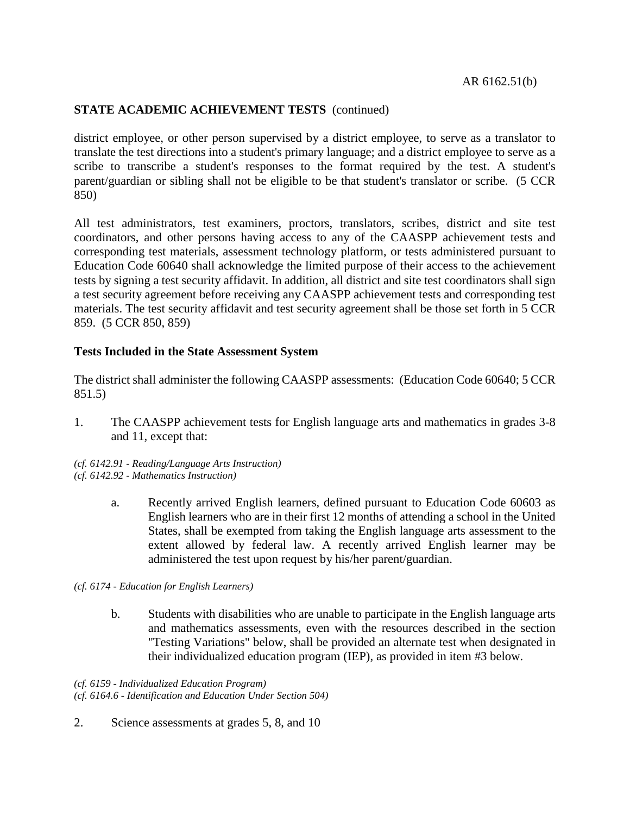district employee, or other person supervised by a district employee, to serve as a translator to translate the test directions into a student's primary language; and a district employee to serve as a scribe to transcribe a student's responses to the format required by the test. A student's parent/guardian or sibling shall not be eligible to be that student's translator or scribe. (5 CCR 850)

All test administrators, test examiners, proctors, translators, scribes, district and site test coordinators, and other persons having access to any of the CAASPP achievement tests and corresponding test materials, assessment technology platform, or tests administered pursuant to Education Code 60640 shall acknowledge the limited purpose of their access to the achievement tests by signing a test security affidavit. In addition, all district and site test coordinators shall sign a test security agreement before receiving any CAASPP achievement tests and corresponding test materials. The test security affidavit and test security agreement shall be those set forth in 5 CCR 859. (5 CCR 850, 859)

#### **Tests Included in the State Assessment System**

The district shall administer the following CAASPP assessments: (Education Code 60640; 5 CCR 851.5)

1. The CAASPP achievement tests for English language arts and mathematics in grades 3-8 and 11, except that:

*(cf. 6142.91 - Reading/Language Arts Instruction) (cf. 6142.92 - Mathematics Instruction)*

- a. Recently arrived English learners, defined pursuant to Education Code 60603 as English learners who are in their first 12 months of attending a school in the United States, shall be exempted from taking the English language arts assessment to the extent allowed by federal law. A recently arrived English learner may be administered the test upon request by his/her parent/guardian.
- *(cf. 6174 - Education for English Learners)*
	- b. Students with disabilities who are unable to participate in the English language arts and mathematics assessments, even with the resources described in the section "Testing Variations" below, shall be provided an alternate test when designated in their individualized education program (IEP), as provided in item #3 below.

*(cf. 6159 - Individualized Education Program) (cf. 6164.6 - Identification and Education Under Section 504)*

2. Science assessments at grades 5, 8, and 10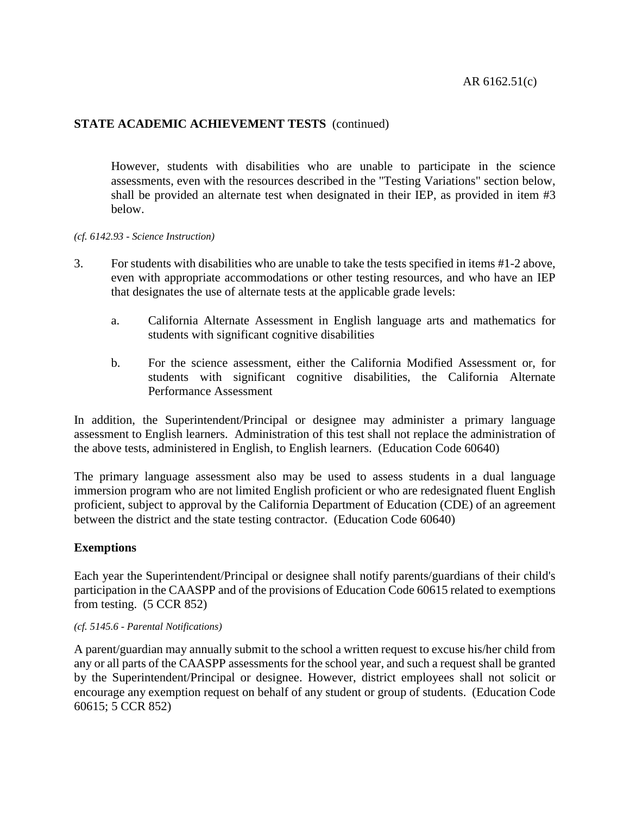However, students with disabilities who are unable to participate in the science assessments, even with the resources described in the "Testing Variations" section below, shall be provided an alternate test when designated in their IEP, as provided in item #3 below.

#### *(cf. 6142.93 - Science Instruction)*

- 3. For students with disabilities who are unable to take the tests specified in items #1-2 above, even with appropriate accommodations or other testing resources, and who have an IEP that designates the use of alternate tests at the applicable grade levels:
	- a. California Alternate Assessment in English language arts and mathematics for students with significant cognitive disabilities
	- b. For the science assessment, either the California Modified Assessment or, for students with significant cognitive disabilities, the California Alternate Performance Assessment

In addition, the Superintendent/Principal or designee may administer a primary language assessment to English learners. Administration of this test shall not replace the administration of the above tests, administered in English, to English learners. (Education Code 60640)

The primary language assessment also may be used to assess students in a dual language immersion program who are not limited English proficient or who are redesignated fluent English proficient, subject to approval by the California Department of Education (CDE) of an agreement between the district and the state testing contractor. (Education Code 60640)

## **Exemptions**

Each year the Superintendent/Principal or designee shall notify parents/guardians of their child's participation in the CAASPP and of the provisions of Education Code 60615 related to exemptions from testing. (5 CCR 852)

#### *(cf. 5145.6 - Parental Notifications)*

A parent/guardian may annually submit to the school a written request to excuse his/her child from any or all parts of the CAASPP assessments for the school year, and such a request shall be granted by the Superintendent/Principal or designee. However, district employees shall not solicit or encourage any exemption request on behalf of any student or group of students. (Education Code 60615; 5 CCR 852)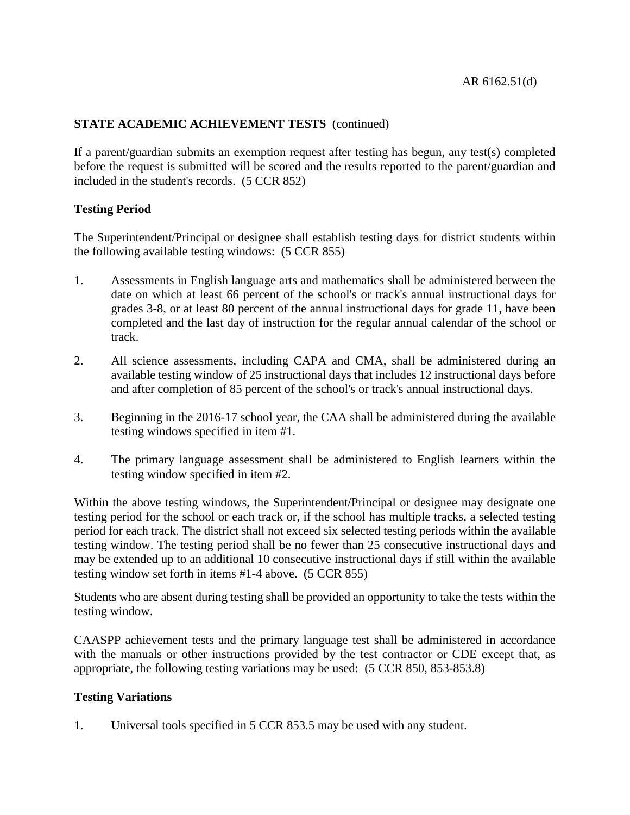If a parent/guardian submits an exemption request after testing has begun, any test(s) completed before the request is submitted will be scored and the results reported to the parent/guardian and included in the student's records. (5 CCR 852)

## **Testing Period**

The Superintendent/Principal or designee shall establish testing days for district students within the following available testing windows: (5 CCR 855)

- 1. Assessments in English language arts and mathematics shall be administered between the date on which at least 66 percent of the school's or track's annual instructional days for grades 3-8, or at least 80 percent of the annual instructional days for grade 11, have been completed and the last day of instruction for the regular annual calendar of the school or track.
- 2. All science assessments, including CAPA and CMA, shall be administered during an available testing window of 25 instructional days that includes 12 instructional days before and after completion of 85 percent of the school's or track's annual instructional days.
- 3. Beginning in the 2016-17 school year, the CAA shall be administered during the available testing windows specified in item #1.
- 4. The primary language assessment shall be administered to English learners within the testing window specified in item #2.

Within the above testing windows, the Superintendent/Principal or designee may designate one testing period for the school or each track or, if the school has multiple tracks, a selected testing period for each track. The district shall not exceed six selected testing periods within the available testing window. The testing period shall be no fewer than 25 consecutive instructional days and may be extended up to an additional 10 consecutive instructional days if still within the available testing window set forth in items #1-4 above. (5 CCR 855)

Students who are absent during testing shall be provided an opportunity to take the tests within the testing window.

CAASPP achievement tests and the primary language test shall be administered in accordance with the manuals or other instructions provided by the test contractor or CDE except that, as appropriate, the following testing variations may be used: (5 CCR 850, 853-853.8)

## **Testing Variations**

1. Universal tools specified in 5 CCR 853.5 may be used with any student.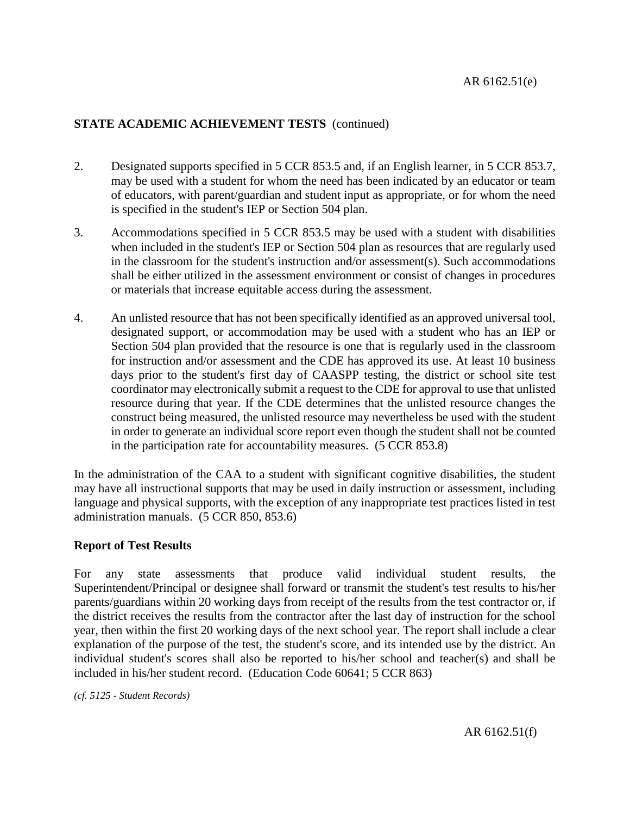- 2. Designated supports specified in 5 CCR 853.5 and, if an English learner, in 5 CCR 853.7, may be used with a student for whom the need has been indicated by an educator or team of educators, with parent/guardian and student input as appropriate, or for whom the need is specified in the student's IEP or Section 504 plan.
- 3. Accommodations specified in 5 CCR 853.5 may be used with a student with disabilities when included in the student's IEP or Section 504 plan as resources that are regularly used in the classroom for the student's instruction and/or assessment(s). Such accommodations shall be either utilized in the assessment environment or consist of changes in procedures or materials that increase equitable access during the assessment.
- 4. An unlisted resource that has not been specifically identified as an approved universal tool, designated support, or accommodation may be used with a student who has an IEP or Section 504 plan provided that the resource is one that is regularly used in the classroom for instruction and/or assessment and the CDE has approved its use. At least 10 business days prior to the student's first day of CAASPP testing, the district or school site test coordinator may electronically submit a request to the CDE for approval to use that unlisted resource during that year. If the CDE determines that the unlisted resource changes the construct being measured, the unlisted resource may nevertheless be used with the student in order to generate an individual score report even though the student shall not be counted in the participation rate for accountability measures. (5 CCR 853.8)

In the administration of the CAA to a student with significant cognitive disabilities, the student may have all instructional supports that may be used in daily instruction or assessment, including language and physical supports, with the exception of any inappropriate test practices listed in test administration manuals. (5 CCR 850, 853.6)

## **Report of Test Results**

For any state assessments that produce valid individual student results, the Superintendent/Principal or designee shall forward or transmit the student's test results to his/her parents/guardians within 20 working days from receipt of the results from the test contractor or, if the district receives the results from the contractor after the last day of instruction for the school year, then within the first 20 working days of the next school year. The report shall include a clear explanation of the purpose of the test, the student's score, and its intended use by the district. An individual student's scores shall also be reported to his/her school and teacher(s) and shall be included in his/her student record. (Education Code 60641; 5 CCR 863)

*(cf. 5125 - Student Records)*